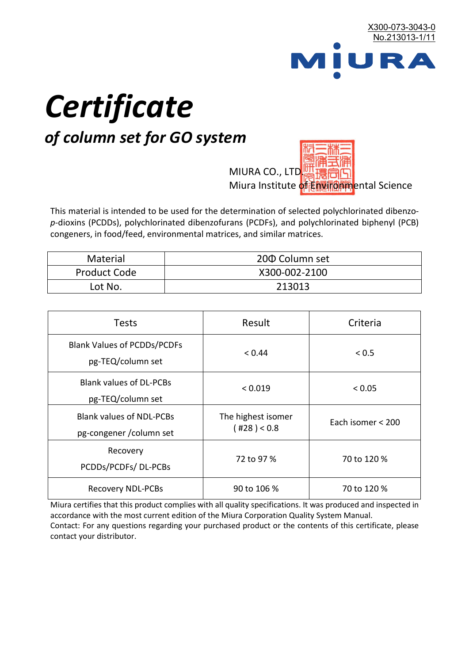

# *Certificate*

## *of column set for GO system*

MIURA CO., LTD. Miura Institute of 正版而解ental Science

This material is intended to be used for the determination of selected polychlorinated dibenzo*p*-dioxins (PCDDs), polychlorinated dibenzofurans (PCDFs), and polychlorinated biphenyl (PCB) congeners, in food/feed, environmental matrices, and similar matrices.

| <b>Material</b>     | 200 Column set |
|---------------------|----------------|
| <b>Product Code</b> | X300-002-2100  |
| Lot No.             | 213013         |

| <b>Tests</b>                                                | Result                            | Criteria          |  |
|-------------------------------------------------------------|-----------------------------------|-------------------|--|
| <b>Blank Values of PCDDs/PCDFs</b><br>pg-TEQ/column set     | < 0.44                            | < 0.5             |  |
| <b>Blank values of DL-PCBs</b><br>pg-TEQ/column set         | < 0.019                           | < 0.05            |  |
| <b>Blank values of NDL-PCBs</b><br>pg-congener / column set | The highest isomer<br>(428) < 0.8 | Each isomer < 200 |  |
| Recovery<br>PCDDs/PCDFs/DL-PCBs                             | 72 to 97 %                        | 70 to 120 %       |  |
| <b>Recovery NDL-PCBs</b>                                    | 90 to 106 %                       | 70 to 120 %       |  |

Miura certifies that this product complies with all quality specifications. It was produced and inspected in accordance with the most current edition of the Miura Corporation Quality System Manual. Contact: For any questions regarding your purchased product or the contents of this certificate, please contact your distributor.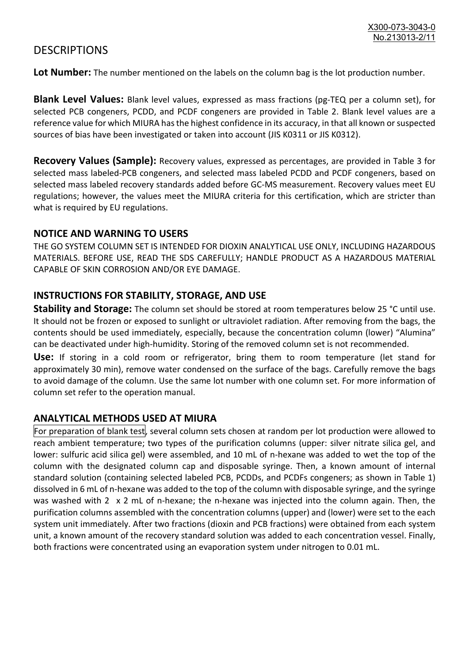### **DESCRIPTIONS**

**Lot Number:** The number mentioned on the labels on the column bag is the lot production number.

**Blank Level Values:** Blank level values, expressed as mass fractions (pg-TEQ per a column set), for selected PCB congeners, PCDD, and PCDF congeners are provided in Table 2. Blank level values are a reference value for which MIURA has the highest confidence in its accuracy, in that all known or suspected sources of bias have been investigated or taken into account (JIS K0311 or JIS K0312).

**Recovery Values (Sample):** Recovery values, expressed as percentages, are provided in Table 3 for selected mass labeled-PCB congeners, and selected mass labeled PCDD and PCDF congeners, based on selected mass labeled recovery standards added before GC-MS measurement. Recovery values meet EU regulations; however, the values meet the MIURA criteria for this certification, which are stricter than what is required by EU regulations.

#### **NOTICE AND WARNING TO USERS**

THE GO SYSTEM COLUMN SET IS INTENDED FOR DIOXIN ANALYTICAL USE ONLY, INCLUDING HAZARDOUS MATERIALS. BEFORE USE, READ THE SDS CAREFULLY; HANDLE PRODUCT AS A HAZARDOUS MATERIAL CAPABLE OF SKIN CORROSION AND/OR EYE DAMAGE.

#### **INSTRUCTIONS FOR STABILITY, STORAGE, AND USE**

**Stability and Storage:** The column set should be stored at room temperatures below 25 °C until use. It should not be frozen or exposed to sunlight or ultraviolet radiation. After removing from the bags, the contents should be used immediately, especially, because the concentration column (lower) "Alumina" can be deactivated under high-humidity. Storing of the removed column set is not recommended.

**Use:** If storing in a cold room or refrigerator, bring them to room temperature (let stand for approximately 30 min), remove water condensed on the surface of the bags. Carefully remove the bags to avoid damage of the column. Use the same lot number with one column set. For more information of column set refer to the operation manual.

#### **ANALYTICAL METHODS USED AT MIURA**

For preparation of blank test, several column sets chosen at random per lot production were allowed to reach ambient temperature; two types of the purification columns (upper: silver nitrate silica gel, and lower: sulfuric acid silica gel) were assembled, and 10 mL of n-hexane was added to wet the top of the column with the designated column cap and disposable syringe. Then, a known amount of internal standard solution (containing selected labeled PCB, PCDDs, and PCDFs congeners; as shown in Table 1) dissolved in 6 mL of n-hexane was added to the top of the column with disposable syringe, and the syringe was washed with 2 x 2 mL of n-hexane; the n-hexane was injected into the column again. Then, the purification columns assembled with the concentration columns (upper) and (lower) were set to the each system unit immediately. After two fractions (dioxin and PCB fractions) were obtained from each system unit, a known amount of the recovery standard solution was added to each concentration vessel. Finally, both fractions were concentrated using an evaporation system under nitrogen to 0.01 mL.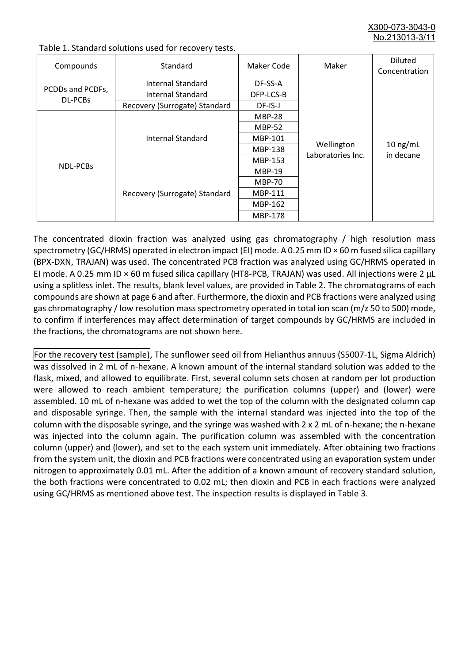X300-073-3043-0 No.213013-3/11

| Compounds                   | Standard                      | Maker Code     | Maker                           | <b>Diluted</b><br>Concentration |
|-----------------------------|-------------------------------|----------------|---------------------------------|---------------------------------|
|                             | Internal Standard             | DF-SS-A        |                                 |                                 |
| PCDDs and PCDFs,<br>DL-PCBs | <b>Internal Standard</b>      | DFP-LCS-B      |                                 |                                 |
|                             | Recovery (Surrogate) Standard | DF-IS-J        | Wellington<br>Laboratories Inc. | $10$ ng/mL<br>in decane         |
| <b>NDL-PCBs</b>             | Internal Standard             | <b>MBP-28</b>  |                                 |                                 |
|                             |                               | <b>MBP-52</b>  |                                 |                                 |
|                             |                               | MBP-101        |                                 |                                 |
|                             |                               | <b>MBP-138</b> |                                 |                                 |
|                             |                               | MBP-153        |                                 |                                 |
|                             | Recovery (Surrogate) Standard | <b>MBP-19</b>  |                                 |                                 |
|                             |                               | <b>MBP-70</b>  |                                 |                                 |
|                             |                               | MBP-111        |                                 |                                 |
|                             |                               | MBP-162        |                                 |                                 |
|                             |                               | <b>MBP-178</b> |                                 |                                 |

Table 1. Standard solutions used for recovery tests.

The concentrated dioxin fraction was analyzed using gas chromatography / high resolution mass spectrometry (GC/HRMS) operated in electron impact (EI) mode. A 0.25 mm ID × 60 m fused silica capillary (BPX-DXN, TRAJAN) was used. The concentrated PCB fraction was analyzed using GC/HRMS operated in EI mode. A 0.25 mm ID × 60 m fused silica capillary (HT8-PCB, TRAJAN) was used. All injections were 2 μL using a splitless inlet. The results, blank level values, are provided in Table 2. The chromatograms of each compounds are shown at page 6 and after. Furthermore, the dioxin and PCB fractions were analyzed using gas chromatography / low resolution mass spectrometry operated in total ion scan (m/z 50 to 500) mode, to confirm if interferences may affect determination of target compounds by GC/HRMS are included in the fractions, the chromatograms are not shown here.

For the recovery test (sample), The sunflower seed oil from Helianthus annuus (S5007-1L, Sigma Aldrich) was dissolved in 2 mL of n-hexane. A known amount of the internal standard solution was added to the flask, mixed, and allowed to equilibrate. First, several column sets chosen at random per lot production were allowed to reach ambient temperature; the purification columns (upper) and (lower) were assembled. 10 mL of n-hexane was added to wet the top of the column with the designated column cap and disposable syringe. Then, the sample with the internal standard was injected into the top of the column with the disposable syringe, and the syringe was washed with 2 x 2 mL of n-hexane; the n-hexane was injected into the column again. The purification column was assembled with the concentration column (upper) and (lower), and set to the each system unit immediately. After obtaining two fractions from the system unit, the dioxin and PCB fractions were concentrated using an evaporation system under nitrogen to approximately 0.01 mL. After the addition of a known amount of recovery standard solution, the both fractions were concentrated to 0.02 mL; then dioxin and PCB in each fractions were analyzed using GC/HRMS as mentioned above test. The inspection results is displayed in Table 3.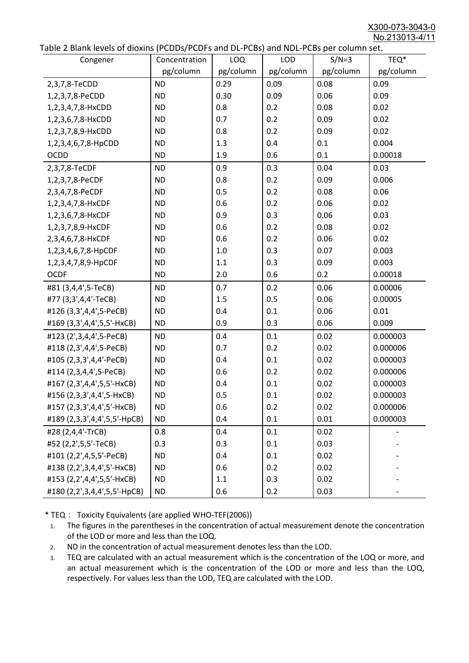X300-073-3043-0 No.213013-4/11

|  |  | Table 2 Blank levels of dioxins (PCDDs/PCDFs and DL-PCBs) and NDL-PCBs per column set. |
|--|--|----------------------------------------------------------------------------------------|
|--|--|----------------------------------------------------------------------------------------|

| able 2 Dialik levels of dioxilis (PCDDs/PCDI's and DL-PCDs) and NDL-PCDs per coldinii set.<br>Congener | Concentration | LOQ       | <b>LOD</b> | $S/N=3$   | TEQ*      |
|--------------------------------------------------------------------------------------------------------|---------------|-----------|------------|-----------|-----------|
|                                                                                                        | pg/column     | pg/column | pg/column  | pg/column | pg/column |
| 2,3,7,8-TeCDD                                                                                          | <b>ND</b>     | 0.29      | 0.09       | 0.08      | 0.09      |
| 1,2,3,7,8-PeCDD                                                                                        | <b>ND</b>     | 0.30      | 0.09       | 0.06      | 0.09      |
| 1,2,3,4,7,8-HxCDD                                                                                      | <b>ND</b>     | 0.8       | 0.2        | 0.08      | 0.02      |
| 1,2,3,6,7,8-HxCDD                                                                                      | <b>ND</b>     | 0.7       | 0.2        | 0.09      | 0.02      |
| 1,2,3,7,8,9-HxCDD                                                                                      | <b>ND</b>     | 0.8       | 0.2        | 0.09      | 0.02      |
| 1,2,3,4,6,7,8-HpCDD                                                                                    | <b>ND</b>     | 1.3       | 0.4        | 0.1       | 0.004     |
| <b>OCDD</b>                                                                                            | <b>ND</b>     | 1.9       | 0.6        | 0.1       | 0.00018   |
| 2,3,7,8-TeCDF                                                                                          | <b>ND</b>     | 0.9       | 0.3        | 0.04      | 0.03      |
| 1,2,3,7,8-PeCDF                                                                                        | <b>ND</b>     | 0.8       | 0.2        | 0.09      | 0.006     |
| 2,3,4,7,8-PeCDF                                                                                        | <b>ND</b>     | 0.5       | 0.2        | 0.08      | 0.06      |
| 1,2,3,4,7,8-HxCDF                                                                                      | <b>ND</b>     | 0.6       | 0.2        | 0.06      | 0.02      |
| 1,2,3,6,7,8-HxCDF                                                                                      | <b>ND</b>     | 0.9       | 0.3        | 0.06      | 0.03      |
| 1,2,3,7,8,9-HxCDF                                                                                      | <b>ND</b>     | 0.6       | 0.2        | 0.08      | 0.02      |
| 2,3,4,6,7,8-HxCDF                                                                                      | <b>ND</b>     | 0.6       | 0.2        | 0.06      | 0.02      |
| 1,2,3,4,6,7,8-HpCDF                                                                                    | <b>ND</b>     | 1.0       | 0.3        | 0.07      | 0.003     |
| 1,2,3,4,7,8,9-HpCDF                                                                                    | <b>ND</b>     | 1.1       | 0.3        | 0.09      | 0.003     |
| <b>OCDF</b>                                                                                            | <b>ND</b>     | 2.0       | 0.6        | 0.2       | 0.00018   |
| #81 (3,4,4',5-TeCB)                                                                                    | <b>ND</b>     | 0.7       | 0.2        | 0.06      | 0.00006   |
| #77 (3,3',4,4'-TeCB)                                                                                   | <b>ND</b>     | 1.5       | 0.5        | 0.06      | 0.00005   |
| #126 (3,3',4,4',5-PeCB)                                                                                | <b>ND</b>     | 0.4       | 0.1        | 0.06      | 0.01      |
| #169 (3,3',4,4',5,5'-HxCB)                                                                             | <b>ND</b>     | 0.9       | 0.3        | 0.06      | 0.009     |
| #123 (2',3,4,4',5-PeCB)                                                                                | <b>ND</b>     | 0.4       | 0.1        | 0.02      | 0.000003  |
| #118 (2,3',4,4',5-PeCB)                                                                                | <b>ND</b>     | 0.7       | 0.2        | 0.02      | 0.000006  |
| #105 (2,3,3',4,4'-PeCB)                                                                                | <b>ND</b>     | 0.4       | 0.1        | 0.02      | 0.000003  |
| #114 (2,3,4,4',5-PeCB)                                                                                 | <b>ND</b>     | 0.6       | 0.2        | 0.02      | 0.000006  |
| #167 (2,3',4,4',5,5'-HxCB)                                                                             | <b>ND</b>     | 0.4       | 0.1        | 0.02      | 0.000003  |
| #156 (2,3,3',4,4',5-HxCB)                                                                              | <b>ND</b>     | 0.5       | 0.1        | 0.02      | 0.000003  |
| #157 (2,3,3',4,4',5'-HxCB)                                                                             | <b>ND</b>     | 0.6       | 0.2        | 0.02      | 0.000006  |
| #189 (2,3,3',4,4',5,5'-HpCB)                                                                           | <b>ND</b>     | 0.4       | 0.1        | 0.01      | 0.000003  |
| #28 (2,4,4'-TrCB)                                                                                      | 0.8           | 0.4       | 0.1        | 0.02      |           |
| #52 (2,2',5,5'-TeCB)                                                                                   | 0.3           | 0.3       | 0.1        | 0.03      |           |
| #101 (2,2',4,5,5'-PeCB)                                                                                | <b>ND</b>     | 0.4       | 0.1        | 0.02      |           |
| #138 (2,2',3,4,4',5'-HxCB)                                                                             | <b>ND</b>     | 0.6       | 0.2        | 0.02      |           |
| #153 (2,2',4,4',5,5'-HxCB)                                                                             | <b>ND</b>     | 1.1       | 0.3        | 0.02      |           |
| #180 (2,2',3,4,4',5,5'-HpCB)                                                                           | <b>ND</b>     | 0.6       | 0.2        | 0.03      |           |

\* TEQ: Toxicity Equivalents (are applied WHO-TEF(2006))

- 1. The figures in the parentheses in the concentration of actual measurement denote the concentration of the LOD or more and less than the LOQ.
- 2. ND in the concentration of actual measurement denotes less than the LOD.
- 3. TEQ are calculated with an actual measurement which is the concentration of the LOQ or more, and an actual measurement which is the concentration of the LOD or more and less than the LOQ, respectively. For values less than the LOD, TEQ are calculated with the LOD.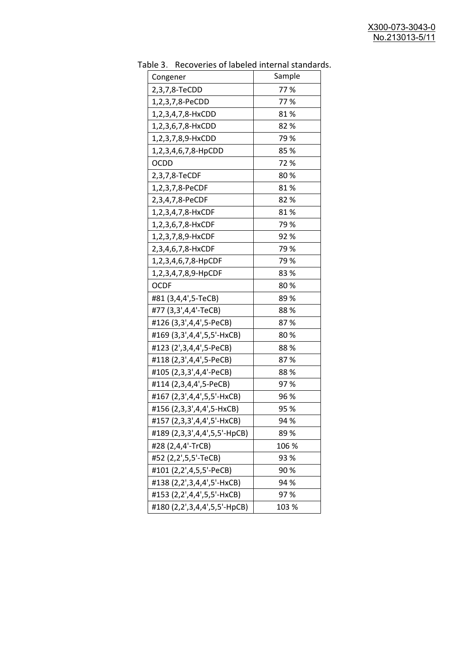| uwic J.<br>Recoveries of fabeled internal standar<br>Congener | Sample |
|---------------------------------------------------------------|--------|
| 2,3,7,8-TeCDD                                                 | 77%    |
|                                                               | 77%    |
| 1,2,3,7,8-PeCDD                                               |        |
| 1,2,3,4,7,8-HxCDD                                             | 81%    |
| 1,2,3,6,7,8-HxCDD                                             | 82%    |
| 1,2,3,7,8,9-HxCDD                                             | 79 %   |
| 1,2,3,4,6,7,8-HpCDD                                           | 85%    |
| <b>OCDD</b>                                                   | 72%    |
| 2,3,7,8-TeCDF                                                 | 80%    |
| 1,2,3,7,8-PeCDF                                               | 81%    |
| 2,3,4,7,8-PeCDF                                               | 82%    |
| 1,2,3,4,7,8-HxCDF                                             | 81%    |
| 1,2,3,6,7,8-HxCDF                                             | 79 %   |
| 1,2,3,7,8,9-HxCDF                                             | 92%    |
| 2,3,4,6,7,8-HxCDF                                             | 79%    |
| 1,2,3,4,6,7,8-HpCDF                                           | 79 %   |
| 1,2,3,4,7,8,9-HpCDF                                           | 83%    |
| <b>OCDF</b>                                                   | 80%    |
| #81 (3,4,4',5-TeCB)                                           | 89%    |
| #77 (3,3',4,4'-TeCB)                                          | 88%    |
| #126 (3,3',4,4',5-PeCB)                                       | 87%    |
| #169 (3,3',4,4',5,5'-HxCB)                                    | 80%    |
| #123 (2',3,4,4',5-PeCB)                                       | 88%    |
| #118 (2,3',4,4',5-PeCB)                                       | 87%    |
| #105 (2,3,3',4,4'-PeCB)                                       | 88%    |
| #114 (2,3,4,4',5-PeCB)                                        | 97%    |
| #167 (2,3',4,4',5,5'-HxCB)                                    | 96 %   |
| #156 (2,3,3',4,4',5-HxCB)                                     | 95 %   |
| #157 (2,3,3',4,4',5'-HxCB)                                    | 94 %   |
| #189 (2,3,3',4,4',5,5'-HpCB)                                  | 89%    |
| #28 (2,4,4'-TrCB)                                             | 106 %  |
| #52 (2,2',5,5'-TeCB)                                          | 93 %   |
| #101 (2,2',4,5,5'-PeCB)                                       | 90%    |
| #138 (2,2',3,4,4',5'-HxCB)                                    | 94 %   |
| #153 (2,2',4,4',5,5'-HxCB)                                    | 97%    |
|                                                               |        |
| #180 (2,2',3,4,4',5,5'-HpCB)                                  | 103 %  |

Table 3. Recoveries of labeled internal standards.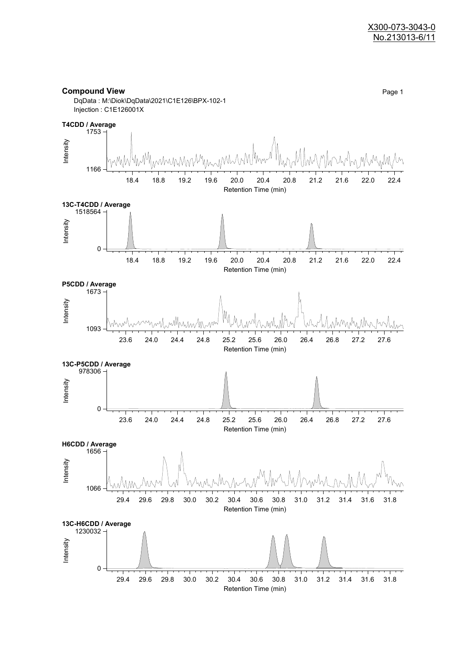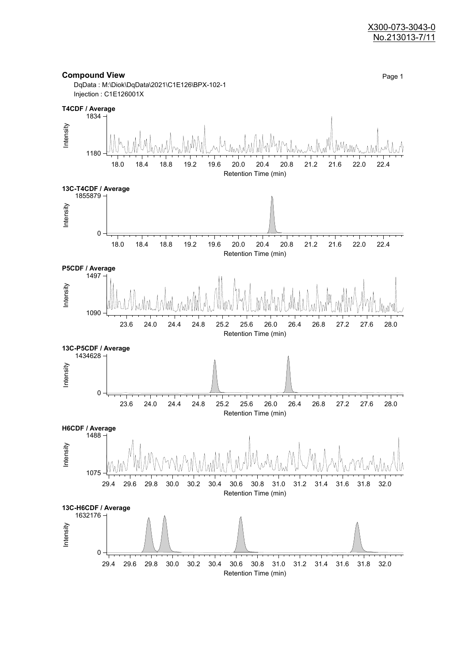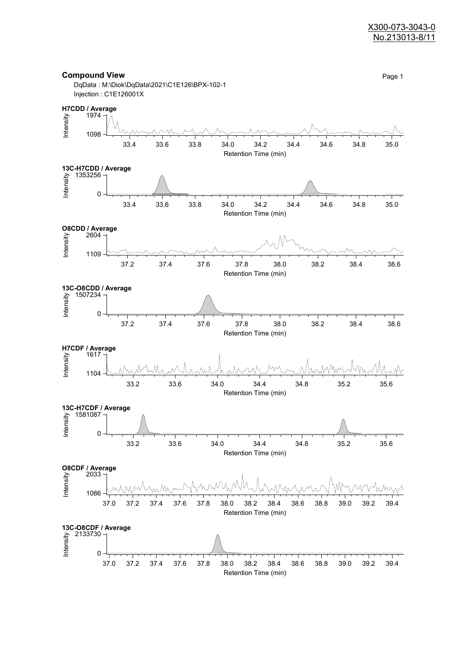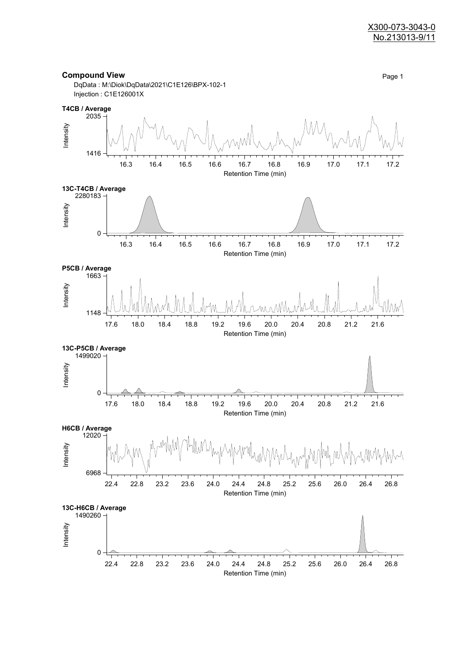

Retention Time (min)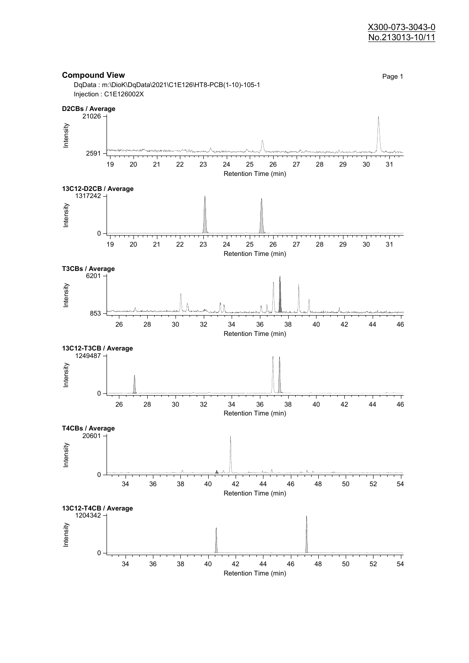